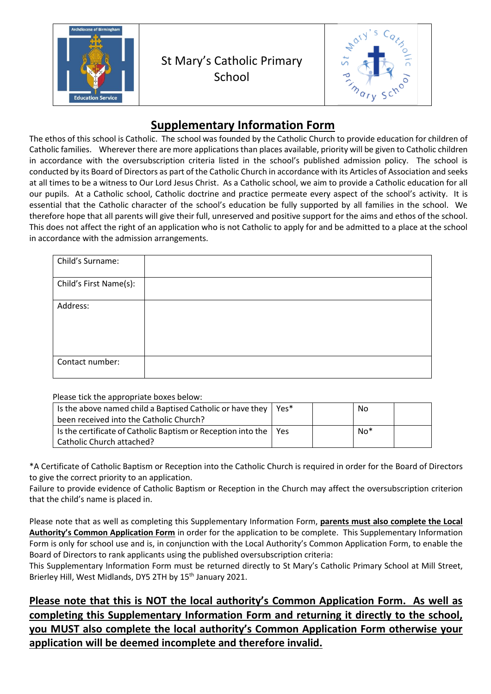



## **Supplementary Information Form**

The ethos of this school is Catholic. The school was founded by the Catholic Church to provide education for children of Catholic families. Wherever there are more applications than places available, priority will be given to Catholic children in accordance with the oversubscription criteria listed in the school's published admission policy. The school is conducted by its Board of Directors as part of the Catholic Church in accordance with its Articles of Association and seeks at all times to be a witness to Our Lord Jesus Christ. As a Catholic school, we aim to provide a Catholic education for all our pupils. At a Catholic school, Catholic doctrine and practice permeate every aspect of the school's activity. It is essential that the Catholic character of the school's education be fully supported by all families in the school. We therefore hope that all parents will give their full, unreserved and positive support for the aims and ethos of the school. This does not affect the right of an application who is not Catholic to apply for and be admitted to a place at the school in accordance with the admission arrangements.

| Child's Surname:       |  |
|------------------------|--|
| Child's First Name(s): |  |
| Address:               |  |
| Contact number:        |  |

Please tick the appropriate boxes below:

| Is the above named child a Baptised Catholic or have they $ $<br>been received into the Catholic Church? | Yes*       | No    |  |
|----------------------------------------------------------------------------------------------------------|------------|-------|--|
| Is the certificate of Catholic Baptism or Reception into the<br>Catholic Church attached?                | <b>Yes</b> | $No*$ |  |

\*A Certificate of Catholic Baptism or Reception into the Catholic Church is required in order for the Board of Directors to give the correct priority to an application.

Failure to provide evidence of Catholic Baptism or Reception in the Church may affect the oversubscription criterion that the child's name is placed in.

Please note that as well as completing this Supplementary Information Form, **parents must also complete the Local Authority's Common Application Form** in order for the application to be complete. This Supplementary Information Form is only for school use and is, in conjunction with the Local Authority's Common Application Form, to enable the Board of Directors to rank applicants using the published oversubscription criteria:

This Supplementary Information Form must be returned directly to St Mary's Catholic Primary School at Mill Street, Brierley Hill, West Midlands, DY5 2TH by 15<sup>th</sup> January 2021.

**Please note that this is NOT the local authority's Common Application Form. As well as completing this Supplementary Information Form and returning it directly to the school, you MUST also complete the local authority's Common Application Form otherwise your application will be deemed incomplete and therefore invalid.**